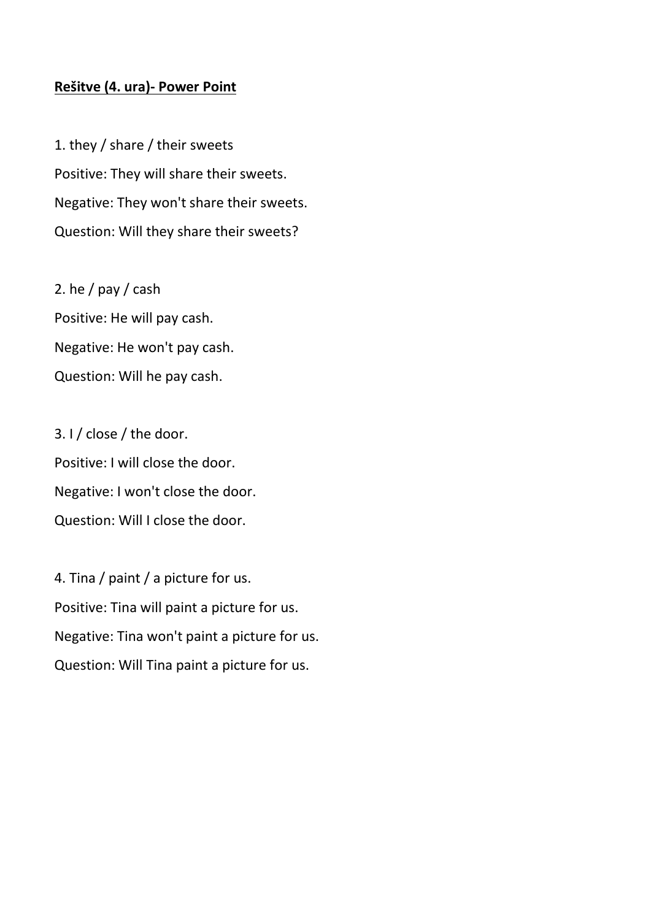## **Rešitve (4. ura)- Power Point**

1. they / share / their sweets Positive: They will share their sweets. Negative: They won't share their sweets. Question: Will they share their sweets?

2. he  $/$  pay  $/$  cash Positive: He will pay cash. Negative: He won't pay cash. Question: Will he pay cash.

3. I / close / the door. Positive: I will close the door. Negative: I won't close the door. Question: Will I close the door.

4. Tina / paint / a picture for us. Positive: Tina will paint a picture for us. Negative: Tina won't paint a picture for us. Question: Will Tina paint a picture for us.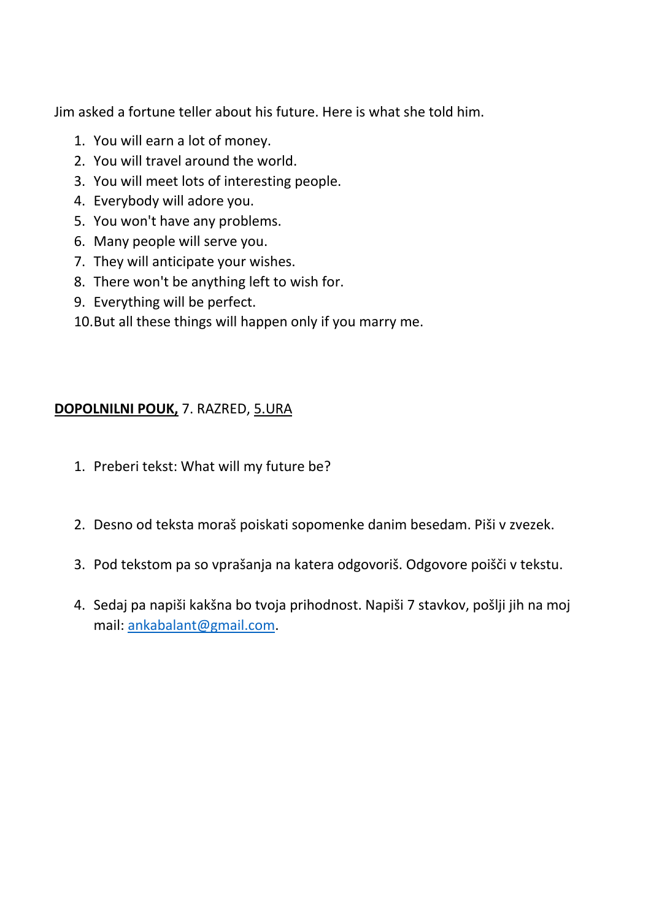Jim asked a fortune teller about his future. Here is what she told him.

- 1. You will earn a lot of money.
- 2. You will travel around the world.
- 3. You will meet lots of interesting people.
- 4. Everybody will adore you.
- 5. You won't have any problems.
- 6. Many people will serve you.
- 7. They will anticipate your wishes.
- 8. There won't be anything left to wish for.
- 9. Everything will be perfect.
- 10.But all these things will happen only if you marry me.

## **DOPOLNILNI POUK,** 7. RAZRED, 5.URA

- 1. Preberi tekst: What will my future be?
- 2. Desno od teksta moraš poiskati sopomenke danim besedam. Piši v zvezek.
- 3. Pod tekstom pa so vprašanja na katera odgovoriš. Odgovore poišči v tekstu.
- 4. Sedaj pa napiši kakšna bo tvoja prihodnost. Napiši 7 stavkov, pošlji jih na moj mail: [ankabalant@gmail.com.](mailto:ankabalant@gmail.com)